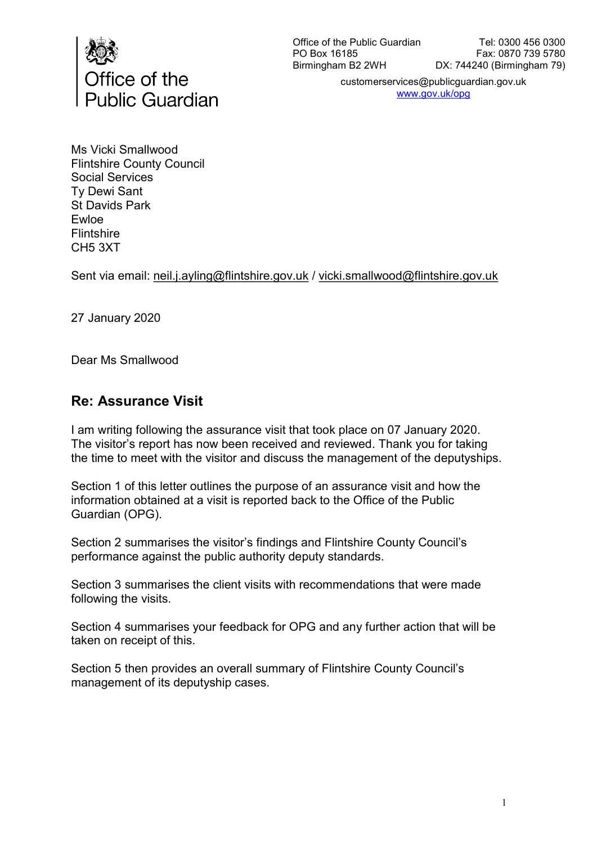

customerservices@publicguardian.gov.uk www.gov.uk/opg

Ms Vicki Smallwood Flintshire County Council Social Services Ty Dewi Sant St Davids Park Ewloe Flintshire CH5 3XT

Sent via email: neil.j.ayling@flintshire.gov.uk / vicki.smallwood@flintshire.gov.uk

27 January 2020

Dear Ms Smallwood

### Re: Assurance Visit

I am writing following the assurance visit that took place on 07 January 2020. The visitor's report has now been received and reviewed. Thank you for taking the time to meet with the visitor and discuss the management of the deputyships.

Section 1 of this letter outlines the purpose of an assurance visit and how the information obtained at a visit is reported back to the Office of the Public Guardian (OPG).

Section 2 summarises the visitor's findings and Flintshire County Council's performance against the public authority deputy standards.

Section 3 summarises the client visits with recommendations that were made following the visits.

Section 4 summarises your feedback for OPG and any further action that will be taken on receipt of this.

Section 5 then provides an overall summary of Flintshire County Council's management of its deputyship cases.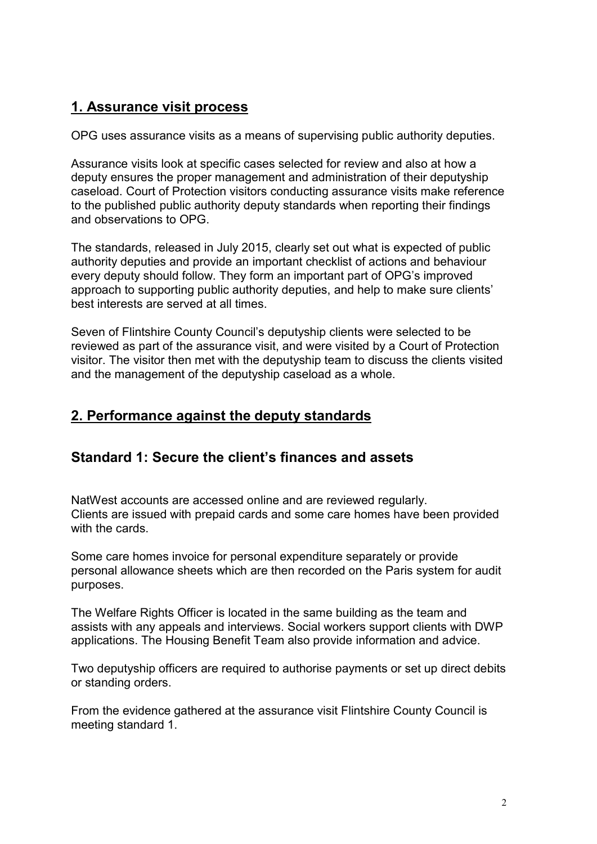# 1. Assurance visit process

OPG uses assurance visits as a means of supervising public authority deputies.

Assurance visits look at specific cases selected for review and also at how a deputy ensures the proper management and administration of their deputyship caseload. Court of Protection visitors conducting assurance visits make reference to the published public authority deputy standards when reporting their findings and observations to OPG.

The standards, released in July 2015, clearly set out what is expected of public authority deputies and provide an important checklist of actions and behaviour every deputy should follow. They form an important part of OPG's improved approach to supporting public authority deputies, and help to make sure clients' best interests are served at all times.

Seven of Flintshire County Council's deputyship clients were selected to be reviewed as part of the assurance visit, and were visited by a Court of Protection visitor. The visitor then met with the deputyship team to discuss the clients visited and the management of the deputyship caseload as a whole.

## 2. Performance against the deputy standards

## Standard 1: Secure the client's finances and assets

NatWest accounts are accessed online and are reviewed regularly. Clients are issued with prepaid cards and some care homes have been provided with the cards.

Some care homes invoice for personal expenditure separately or provide personal allowance sheets which are then recorded on the Paris system for audit purposes.

The Welfare Rights Officer is located in the same building as the team and assists with any appeals and interviews. Social workers support clients with DWP applications. The Housing Benefit Team also provide information and advice.

Two deputyship officers are required to authorise payments or set up direct debits or standing orders.

From the evidence gathered at the assurance visit Flintshire County Council is meeting standard 1.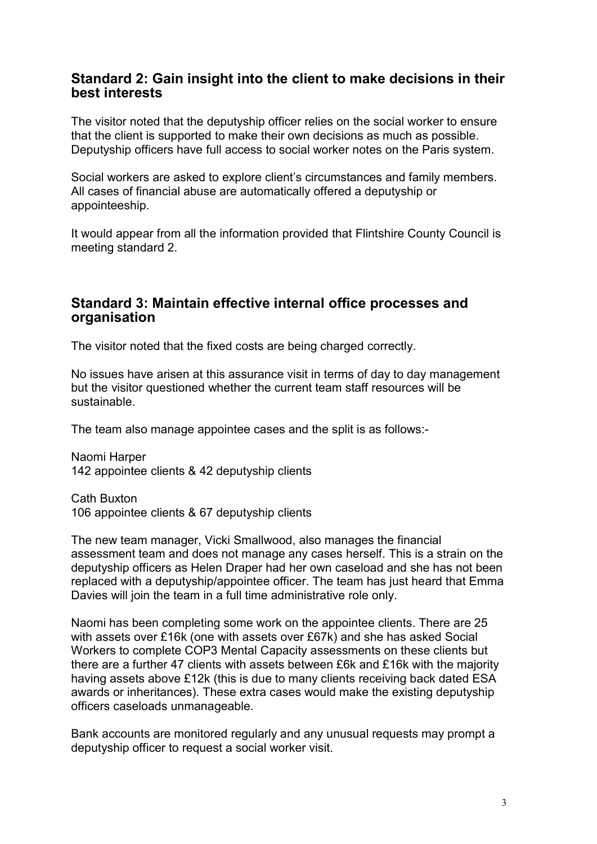#### Standard 2: Gain insight into the client to make decisions in their best interests

The visitor noted that the deputyship officer relies on the social worker to ensure that the client is supported to make their own decisions as much as possible. Deputyship officers have full access to social worker notes on the Paris system.

Social workers are asked to explore client's circumstances and family members. All cases of financial abuse are automatically offered a deputyship or appointeeship.

It would appear from all the information provided that Flintshire County Council is meeting standard 2.

#### Standard 3: Maintain effective internal office processes and **organisation**

The visitor noted that the fixed costs are being charged correctly.

No issues have arisen at this assurance visit in terms of day to day management but the visitor questioned whether the current team staff resources will be sustainable.

The team also manage appointee cases and the split is as follows:-

Naomi Harper 142 appointee clients & 42 deputyship clients

Cath Buxton 106 appointee clients & 67 deputyship clients

The new team manager, Vicki Smallwood, also manages the financial assessment team and does not manage any cases herself. This is a strain on the deputyship officers as Helen Draper had her own caseload and she has not been replaced with a deputyship/appointee officer. The team has just heard that Emma Davies will join the team in a full time administrative role only.

Naomi has been completing some work on the appointee clients. There are 25 with assets over £16k (one with assets over £67k) and she has asked Social Workers to complete COP3 Mental Capacity assessments on these clients but there are a further 47 clients with assets between £6k and £16k with the majority having assets above £12k (this is due to many clients receiving back dated ESA awards or inheritances). These extra cases would make the existing deputyship officers caseloads unmanageable.

Bank accounts are monitored regularly and any unusual requests may prompt a deputyship officer to request a social worker visit.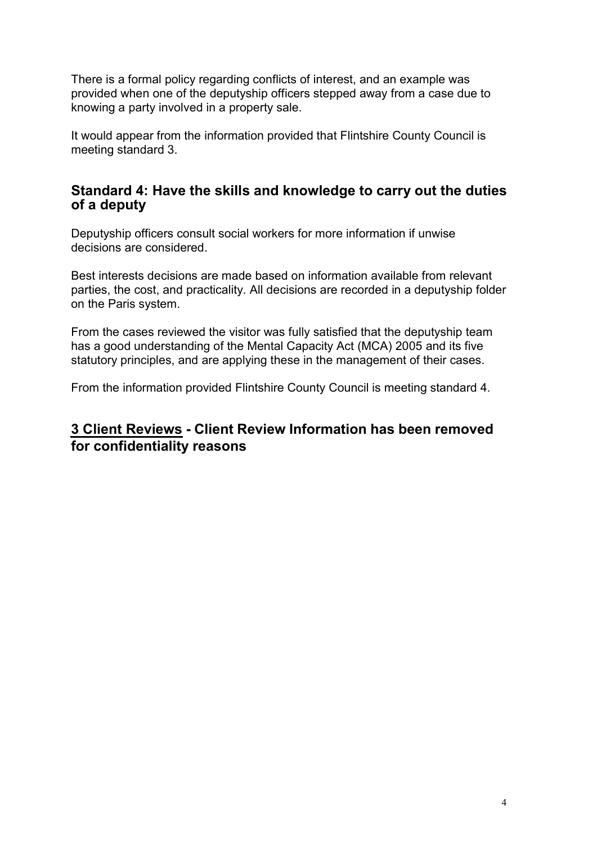There is a formal policy regarding conflicts of interest, and an example was provided when one of the deputyship officers stepped away from a case due to knowing a party involved in a property sale.

It would appear from the information provided that Flintshire County Council is meeting standard 3.

### Standard 4: Have the skills and knowledge to carry out the duties of a deputy

Deputyship officers consult social workers for more information if unwise decisions are considered.

Best interests decisions are made based on information available from relevant parties, the cost, and practicality. All decisions are recorded in a deputyship folder on the Paris system.

From the cases reviewed the visitor was fully satisfied that the deputyship team has a good understanding of the Mental Capacity Act (MCA) 2005 and its five statutory principles, and are applying these in the management of their cases.

From the information provided Flintshire County Council is meeting standard 4.

## 3 Client Reviews **- Client Review Information has been removed for confidentiality reasons**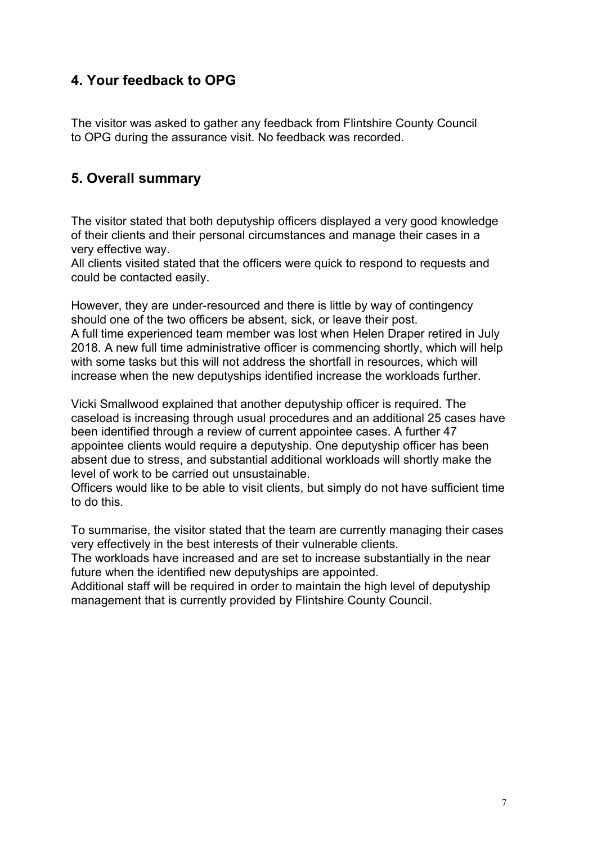# 4. Your feedback to OPG

The visitor was asked to gather any feedback from Flintshire County Council to OPG during the assurance visit. No feedback was recorded.

## 5. Overall summary

The visitor stated that both deputyship officers displayed a very good knowledge of their clients and their personal circumstances and manage their cases in a very effective way.

All clients visited stated that the officers were quick to respond to requests and could be contacted easily.

However, they are under-resourced and there is little by way of contingency should one of the two officers be absent, sick, or leave their post. A full time experienced team member was lost when Helen Draper retired in July 2018. A new full time administrative officer is commencing shortly, which will help with some tasks but this will not address the shortfall in resources, which will increase when the new deputyships identified increase the workloads further.

Vicki Smallwood explained that another deputyship officer is required. The caseload is increasing through usual procedures and an additional 25 cases have been identified through a review of current appointee cases. A further 47 appointee clients would require a deputyship. One deputyship officer has been absent due to stress, and substantial additional workloads will shortly make the level of work to be carried out unsustainable.

Officers would like to be able to visit clients, but simply do not have sufficient time to do this.

To summarise, the visitor stated that the team are currently managing their cases very effectively in the best interests of their vulnerable clients.

The workloads have increased and are set to increase substantially in the near future when the identified new deputyships are appointed.

Additional staff will be required in order to maintain the high level of deputyship management that is currently provided by Flintshire County Council.